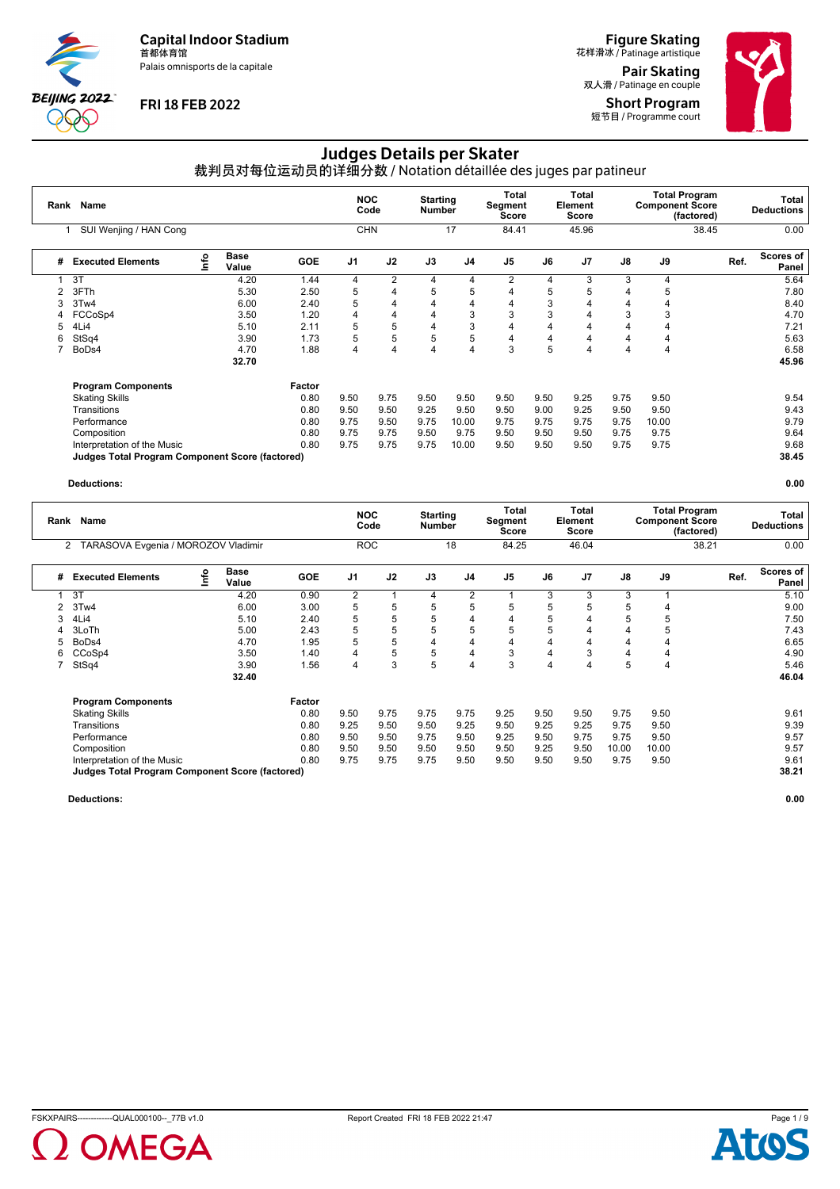Palais omnisports de la capitale



### **FRI 18 FEB 2022**

**Figure Skating**<br>花样滑冰 / Patinage artistique Pair Skating

双人滑 / Patinage en couple Short Program 短节目 / Programme court

# Judges Details per Skater

裁判员对每位运动员的详细分数 / Notation détaillée des juges par patineur

| Rank | <b>Name</b>                                     |      |                      |            | <b>NOC</b>     | Code           | <b>Starting</b><br><b>Number</b> |                | Total<br>Segment<br><b>Score</b> |      | Total<br>Element<br>Score |      | <b>Component Score</b> | <b>Total Program</b><br>(factored) |      | Total<br><b>Deductions</b> |
|------|-------------------------------------------------|------|----------------------|------------|----------------|----------------|----------------------------------|----------------|----------------------------------|------|---------------------------|------|------------------------|------------------------------------|------|----------------------------|
|      | SUI Wenjing / HAN Cong                          |      |                      |            |                | <b>CHN</b>     |                                  | 17             | 84.41                            |      | 45.96                     |      |                        | 38.45                              |      | 0.00                       |
| #    | <b>Executed Elements</b>                        | info | <b>Base</b><br>Value | <b>GOE</b> | J <sub>1</sub> | J2             | J3                               | J4             | J <sub>5</sub>                   | J6   | J <sub>7</sub>            | J8   | J9                     |                                    | Ref. | Scores of<br>Panel         |
|      | 3T                                              |      | 4.20                 | 1.44       | 4              | $\overline{2}$ | $\overline{4}$                   | 4              | $\overline{2}$                   | 4    | 3                         | 3    | 4                      |                                    |      | 5.64                       |
|      | 3FTh                                            |      | 5.30                 | 2.50       | 5              | 4              | 5                                | 5              | 4                                | 5    | 5                         | 4    | 5                      |                                    |      | 7.80                       |
| 3    | 3Tw4                                            |      | 6.00                 | 2.40       | 5              | 4              | $\overline{4}$                   | $\overline{4}$ | 4                                | 3    | 4                         | 4    | 4                      |                                    |      | 8.40                       |
|      | FCCoSp4                                         |      | 3.50                 | 1.20       | 4              | 4              | $\overline{4}$                   | 3              | 3                                | 3    | 4                         | 3    | 3                      |                                    |      | 4.70                       |
| 5    | 4Li4                                            |      | 5.10                 | 2.11       | 5              | 5              | $\overline{4}$                   | 3              | 4                                | 4    | 4                         | 4    | 4                      |                                    |      | 7.21                       |
| 6    | StSq4                                           |      | 3.90                 | 1.73       | 5              | 5              | 5                                | 5              | 4                                | 4    | 4                         | 4    | 4                      |                                    |      | 5.63                       |
| 7    | BoDs4                                           |      | 4.70                 | 1.88       | 4              | 4              | $\overline{4}$                   | $\overline{4}$ | 3                                | 5    | 4                         | 4    | 4                      |                                    |      | 6.58                       |
|      |                                                 |      | 32.70                |            |                |                |                                  |                |                                  |      |                           |      |                        |                                    |      | 45.96                      |
|      | <b>Program Components</b>                       |      |                      | Factor     |                |                |                                  |                |                                  |      |                           |      |                        |                                    |      |                            |
|      | <b>Skating Skills</b>                           |      |                      | 0.80       | 9.50           | 9.75           | 9.50                             | 9.50           | 9.50                             | 9.50 | 9.25                      | 9.75 | 9.50                   |                                    |      | 9.54                       |
|      | Transitions                                     |      |                      | 0.80       | 9.50           | 9.50           | 9.25                             | 9.50           | 9.50                             | 9.00 | 9.25                      | 9.50 | 9.50                   |                                    |      | 9.43                       |
|      | Performance                                     |      |                      | 0.80       | 9.75           | 9.50           | 9.75                             | 10.00          | 9.75                             | 9.75 | 9.75                      | 9.75 | 10.00                  |                                    |      | 9.79                       |
|      | Composition                                     |      |                      | 0.80       | 9.75           | 9.75           | 9.50                             | 9.75           | 9.50                             | 9.50 | 9.50                      | 9.75 | 9.75                   |                                    |      | 9.64                       |
|      | Interpretation of the Music                     |      |                      | 0.80       | 9.75           | 9.75           | 9.75                             | 10.00          | 9.50                             | 9.50 | 9.50                      | 9.75 | 9.75                   |                                    |      | 9.68                       |
|      | Judges Total Program Component Score (factored) |      |                      |            |                |                |                                  |                |                                  |      |                           |      |                        |                                    |      | 38.45                      |

#### **Deductions: 0.00**

|   | Rank Name                                             |    |                      | <b>NOC</b> | Code           | <b>Starting</b><br>Number |      | Total<br>Segment<br>Score |                | Total<br>Element<br>Score |                | <b>Component Score</b> | <b>Total Program</b><br>(factored) | Total<br><b>Deductions</b> |                            |
|---|-------------------------------------------------------|----|----------------------|------------|----------------|---------------------------|------|---------------------------|----------------|---------------------------|----------------|------------------------|------------------------------------|----------------------------|----------------------------|
|   | TARASOVA Evgenia / MOROZOV Vladimir<br>$\overline{2}$ |    |                      |            |                | <b>ROC</b>                |      | 18                        | 84.25          |                           | 46.04          |                        |                                    | 38.21                      | 0.00                       |
| # | <b>Executed Elements</b>                              | ۴o | <b>Base</b><br>Value | <b>GOE</b> | J <sub>1</sub> | J2                        | J3   | J <sub>4</sub>            | J <sub>5</sub> | J6                        | J <sub>7</sub> | J8                     | J9                                 |                            | Scores of<br>Ref.<br>Panel |
|   | 3T                                                    |    | 4.20                 | 0.90       | 2              | 1                         | 4    | 2                         |                | 3                         | 3              | 3                      |                                    |                            | 5.10                       |
|   | 3Tw4                                                  |    | 6.00                 | 3.00       | 5              | 5                         | 5    | 5                         | 5              | 5                         | 5              | 5                      |                                    |                            | 9.00                       |
|   | 4Li4                                                  |    | 5.10                 | 2.40       | 5              | 5                         | 5    | 4                         | 4              | 5                         |                | 5                      | 5                                  |                            | 7.50                       |
|   | 3LoTh                                                 |    | 5.00                 | 2.43       | 5              | 5                         | 5    | 5                         | 5              | 5                         | 4              | 4                      | 5.                                 |                            | 7.43                       |
|   | BoDs4                                                 |    | 4.70                 | 1.95       | 5              | 5                         | 4    | $\overline{\mathbf{4}}$   | 4              | 4                         | 4              | 4                      | 4                                  |                            | 6.65                       |
| 6 | CCoSp4                                                |    | 3.50                 | 1.40       | 4              | 5                         | 5    | 4                         | 3              | 4                         | 3              | 4                      | 4                                  |                            | 4.90                       |
|   | StSq4                                                 |    | 3.90                 | 1.56       | 4              | 3                         | 5    | $\overline{4}$            | 3              | 4                         | 4              | 5                      | 4                                  |                            | 5.46                       |
|   |                                                       |    | 32.40                |            |                |                           |      |                           |                |                           |                |                        |                                    |                            | 46.04                      |
|   | <b>Program Components</b>                             |    |                      | Factor     |                |                           |      |                           |                |                           |                |                        |                                    |                            |                            |
|   | <b>Skating Skills</b>                                 |    |                      | 0.80       | 9.50           | 9.75                      | 9.75 | 9.75                      | 9.25           | 9.50                      | 9.50           | 9.75                   | 9.50                               |                            | 9.61                       |
|   | Transitions                                           |    |                      | 0.80       | 9.25           | 9.50                      | 9.50 | 9.25                      | 9.50           | 9.25                      | 9.25           | 9.75                   | 9.50                               |                            | 9.39                       |
|   | Performance                                           |    |                      | 0.80       | 9.50           | 9.50                      | 9.75 | 9.50                      | 9.25           | 9.50                      | 9.75           | 9.75                   | 9.50                               |                            | 9.57                       |
|   | Composition                                           |    |                      | 0.80       | 9.50           | 9.50                      | 9.50 | 9.50                      | 9.50           | 9.25                      | 9.50           | 10.00                  | 10.00                              |                            | 9.57                       |
|   | Interpretation of the Music                           |    |                      | 0.80       | 9.75           | 9.75                      | 9.75 | 9.50                      | 9.50           | 9.50                      | 9.50           | 9.75                   | 9.50                               |                            | 9.61                       |
|   | Judges Total Program Component Score (factored)       |    |                      |            |                |                           |      |                           |                |                           |                |                        |                                    |                            | 38.21                      |



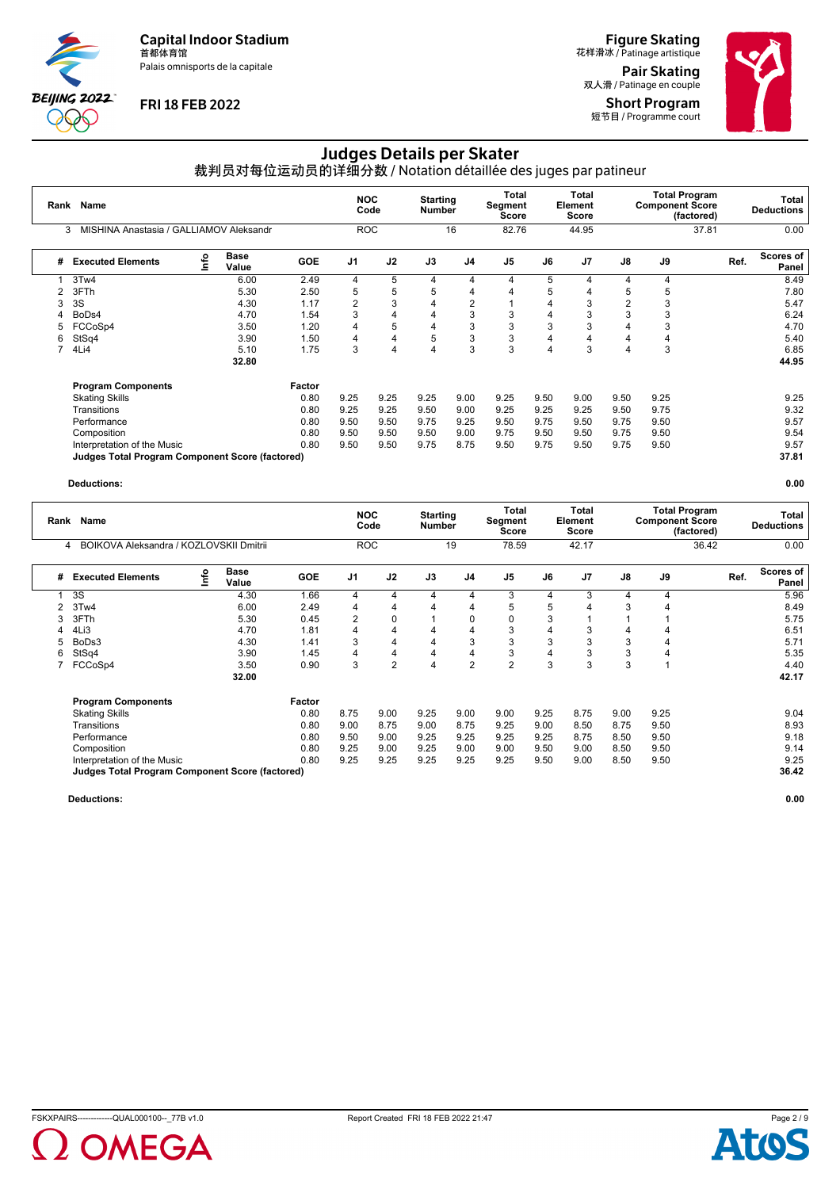Palais omnisports de la capitale



## **FRI 18 FEB 2022**

**Figure Skating**<br>花样滑冰 / Patinage artistique Pair Skating

双人滑 / Patinage en couple Short Program 短节目 / Programme court



# Judges Details per Skater

裁判员对每位运动员的详细分数 / Notation détaillée des juges par patineur

| Rank | Name                                                   |   |               | <b>NOC</b><br>Code | <b>Starting</b><br><b>Number</b> |            | Total<br>Segment<br><b>Score</b> |                | <b>Total</b><br>Element<br><b>Score</b> |      | <b>Total Program</b><br><b>Component Score</b> | (factored) | Total<br><b>Deductions</b> |       |                    |
|------|--------------------------------------------------------|---|---------------|--------------------|----------------------------------|------------|----------------------------------|----------------|-----------------------------------------|------|------------------------------------------------|------------|----------------------------|-------|--------------------|
|      | MISHINA Anastasia / GALLIAMOV Aleksandr<br>3           |   |               |                    |                                  | <b>ROC</b> |                                  | 16             | 82.76                                   |      | 44.95                                          |            |                            | 37.81 | 0.00               |
| #    | <b>Executed Elements</b>                               | e | Base<br>Value | <b>GOE</b>         | J <sub>1</sub>                   | J2         | J3                               | J4             | J <sub>5</sub>                          | J6   | J <sub>7</sub>                                 | J8         | J9                         | Ref.  | Scores of<br>Panel |
|      | 3Tw4                                                   |   | 6.00          | 2.49               | 4                                | 5          | 4                                | 4              | 4                                       | 5    | 4                                              | 4          | 4                          |       | 8.49               |
|      | 3FTh                                                   |   | 5.30          | 2.50               | 5                                | 5          | 5                                | 4              | $\overline{4}$                          | 5    | 4                                              | 5          | 5                          |       | 7.80               |
| 3    | 3S                                                     |   | 4.30          | 1.17               | 2                                | 3          | $\overline{4}$                   | $\overline{2}$ |                                         | 4    | 3                                              | 2          | 3                          |       | 5.47               |
| 4    | BoDs4                                                  |   | 4.70          | 1.54               | 3                                | 4          | 4                                | 3              | 3                                       | 4    | 3                                              | 3          | 3                          |       | 6.24               |
| 5    | FCCoSp4                                                |   | 3.50          | 1.20               | 4                                | 5          | 4                                | 3              | 3                                       | 3    | 3                                              |            | 3                          |       | 4.70               |
| 6    | StSq4                                                  |   | 3.90          | 1.50               | 4                                | 4          | 5                                | 3              | 3                                       | 4    | 4                                              |            | 4                          |       | 5.40               |
|      | 4Li4                                                   |   | 5.10          | 1.75               | 3                                | 4          | 4                                | 3              | 3                                       | 4    | 3                                              | 4          | 3                          |       | 6.85               |
|      |                                                        |   | 32.80         |                    |                                  |            |                                  |                |                                         |      |                                                |            |                            |       | 44.95              |
|      | <b>Program Components</b>                              |   |               | Factor             |                                  |            |                                  |                |                                         |      |                                                |            |                            |       |                    |
|      | <b>Skating Skills</b>                                  |   |               | 0.80               | 9.25                             | 9.25       | 9.25                             | 9.00           | 9.25                                    | 9.50 | 9.00                                           | 9.50       | 9.25                       |       | 9.25               |
|      | Transitions                                            |   |               | 0.80               | 9.25                             | 9.25       | 9.50                             | 9.00           | 9.25                                    | 9.25 | 9.25                                           | 9.50       | 9.75                       |       | 9.32               |
|      | Performance                                            |   |               | 0.80               | 9.50                             | 9.50       | 9.75                             | 9.25           | 9.50                                    | 9.75 | 9.50                                           | 9.75       | 9.50                       |       | 9.57               |
|      | Composition                                            |   |               | 0.80               | 9.50                             | 9.50       | 9.50                             | 9.00           | 9.75                                    | 9.50 | 9.50                                           | 9.75       | 9.50                       |       | 9.54               |
|      | Interpretation of the Music                            |   |               | 0.80               | 9.50                             | 9.50       | 9.75                             | 8.75           | 9.50                                    | 9.75 | 9.50                                           | 9.75       | 9.50                       |       | 9.57               |
|      | <b>Judges Total Program Component Score (factored)</b> |   |               |                    |                                  |            |                                  |                |                                         |      |                                                |            |                            |       | 37.81              |

#### **Deductions: 0.00**

|   | Name<br>Rank<br>BOIKOVA Aleksandra / KOZLOVSKII Dmitrii<br>4 |      |                      |            | <b>NOC</b>     | Code       | <b>Starting</b><br><b>Number</b> |                | Total<br>Segment<br>Score |      | Total<br>Element<br><b>Score</b> |      | <b>Total Program</b><br><b>Component Score</b> | (factored) | Total<br><b>Deductions</b> |
|---|--------------------------------------------------------------|------|----------------------|------------|----------------|------------|----------------------------------|----------------|---------------------------|------|----------------------------------|------|------------------------------------------------|------------|----------------------------|
|   |                                                              |      |                      |            |                | <b>ROC</b> |                                  | 19             | 78.59                     |      | 42.17                            |      |                                                | 36.42      | 0.00                       |
| # | <b>Executed Elements</b>                                     | Info | <b>Base</b><br>Value | <b>GOE</b> | J <sub>1</sub> | J2         | J3                               | J4             | J <sub>5</sub>            | J6   | J <sub>7</sub>                   | J8   | J9                                             | Ref.       | <b>Scores of</b><br>Panel  |
|   | 3S                                                           |      | 4.30                 | 1.66       | 4              | 4          | 4                                | 4              | 3                         | 4    | 3                                | 4    | 4                                              |            | 5.96                       |
|   | 3Tw4                                                         |      | 6.00                 | 2.49       | 4              | 4          | 4                                | 4              | 5                         | 5    |                                  | 3    | Δ                                              |            | 8.49                       |
|   | 3FTh                                                         |      | 5.30                 | 0.45       | 2              | 0          |                                  | 0              | 0                         | 3    |                                  |      |                                                |            | 5.75                       |
| 4 | 4Li3                                                         |      | 4.70                 | 1.81       | 4              | 4          | 4                                | 4              | 3                         | 4    | 3                                | 4    | 4                                              |            | 6.51                       |
|   | BoDs3                                                        |      | 4.30                 | 1.41       | 3              | 4          | 4                                | 3              | 3                         | 3    | 3                                | 3    | 4                                              |            | 5.71                       |
| 6 | StSq4                                                        |      | 3.90                 | 1.45       | 4              | 4          | 4                                | 4              | 3                         | 4    | 3                                | 3    |                                                |            | 5.35                       |
|   | FCCoSp4                                                      |      | 3.50                 | 0.90       | 3              | 2          | 4                                | $\overline{2}$ | $\overline{2}$            | 3    | 3                                | 3    |                                                |            | 4.40                       |
|   |                                                              |      | 32.00                |            |                |            |                                  |                |                           |      |                                  |      |                                                |            | 42.17                      |
|   | <b>Program Components</b>                                    |      |                      | Factor     |                |            |                                  |                |                           |      |                                  |      |                                                |            |                            |
|   | <b>Skating Skills</b>                                        |      |                      | 0.80       | 8.75           | 9.00       | 9.25                             | 9.00           | 9.00                      | 9.25 | 8.75                             | 9.00 | 9.25                                           |            | 9.04                       |
|   | Transitions                                                  |      |                      | 0.80       | 9.00           | 8.75       | 9.00                             | 8.75           | 9.25                      | 9.00 | 8.50                             | 8.75 | 9.50                                           |            | 8.93                       |
|   | Performance                                                  |      |                      | 0.80       | 9.50           | 9.00       | 9.25                             | 9.25           | 9.25                      | 9.25 | 8.75                             | 8.50 | 9.50                                           |            | 9.18                       |
|   | Composition                                                  |      |                      | 0.80       | 9.25           | 9.00       | 9.25                             | 9.00           | 9.00                      | 9.50 | 9.00                             | 8.50 | 9.50                                           |            | 9.14                       |
|   | Interpretation of the Music                                  |      |                      | 0.80       | 9.25           | 9.25       | 9.25                             | 9.25           | 9.25                      | 9.50 | 9.00                             | 8.50 | 9.50                                           |            | 9.25                       |
|   | <b>Judges Total Program Component Score (factored)</b>       |      |                      |            |                |            |                                  |                |                           |      |                                  |      |                                                |            | 36.42                      |



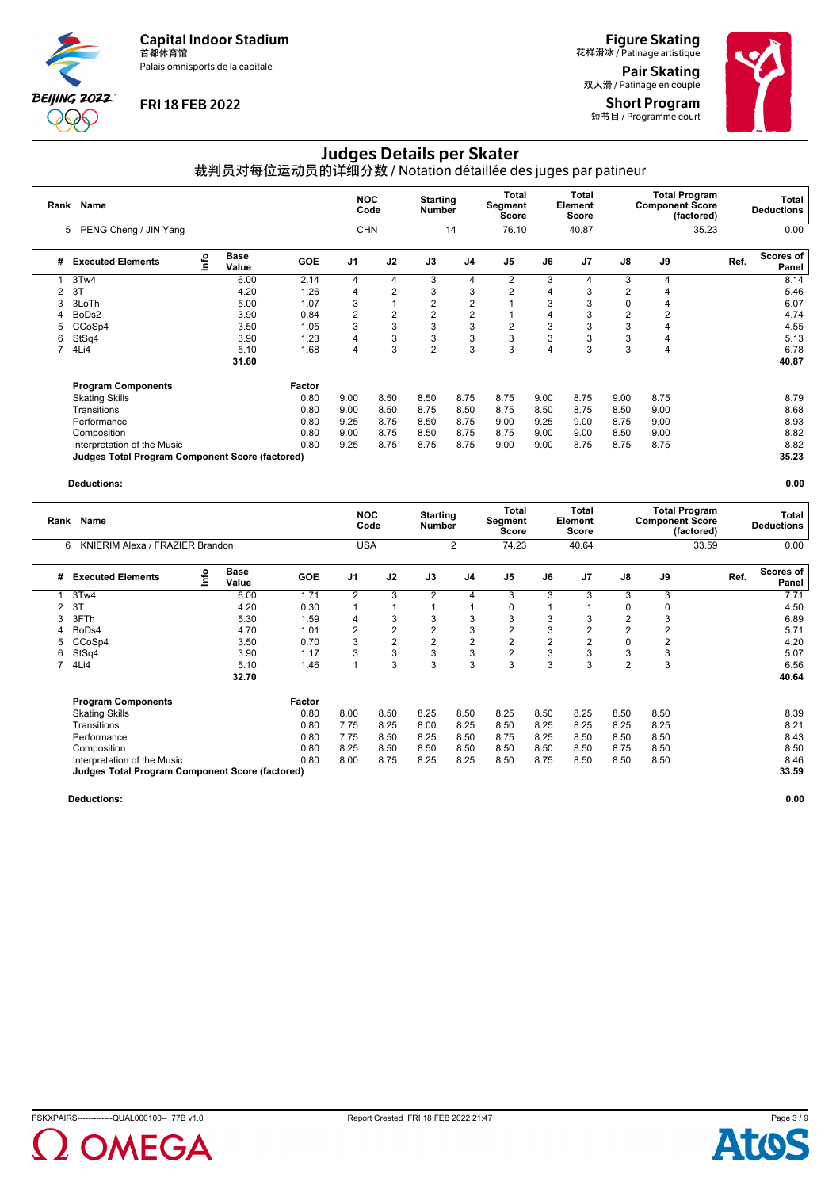Palais omnisports de la capitale



### **FRI 18 FEB 2022**

**Figure Skating**<br>花样滑冰 / Patinage artistique

Pair Skating 双人滑 / Patinage en couple Short Program 短节目 / Programme court



## Judges Details per Skater

裁判员对每位运动员的详细分数 / Notation détaillée des juges par patineur

| Rank | Name                                                   |      |                      |            |                | <b>NOC</b><br>Code | <b>Starting</b><br><b>Number</b> |                | Total<br>Segment<br>Score |      | <b>Total</b><br>Element<br>Score |                | <b>Total Program</b><br><b>Component Score</b><br>(factored) |       | Total<br><b>Deductions</b> |
|------|--------------------------------------------------------|------|----------------------|------------|----------------|--------------------|----------------------------------|----------------|---------------------------|------|----------------------------------|----------------|--------------------------------------------------------------|-------|----------------------------|
|      | PENG Cheng / JIN Yang<br>5                             |      |                      |            |                | <b>CHN</b>         |                                  | 14             | 76.10                     |      | 40.87                            |                |                                                              | 35.23 | 0.00                       |
| #    | <b>Executed Elements</b>                               | Info | <b>Base</b><br>Value | <b>GOE</b> | J <sub>1</sub> | J2                 | J3                               | J <sub>4</sub> | J <sub>5</sub>            | J6   | J7                               | J8             | J9                                                           | Ref.  | Scores of<br>Panel         |
|      | 3Tw4                                                   |      | 6.00                 | 2.14       | 4              | 4                  | 3                                | 4              | 2                         | 3    | 4                                | 3              | 4                                                            |       | 8.14                       |
|      | 3T                                                     |      | 4.20                 | 1.26       | 4              | 2                  | 3                                | 3              | $\overline{2}$            | 4    | 3                                | 2              | 4                                                            |       | 5.46                       |
|      | 3LoTh                                                  |      | 5.00                 | 1.07       | 3              |                    | 2                                | $\overline{2}$ |                           | 3    | 3                                | $\Omega$       | 4                                                            |       | 6.07                       |
| 4    | BoDs2                                                  |      | 3.90                 | 0.84       | 2              | 2                  | 2                                | $\overline{2}$ |                           | 4    | 3                                | $\overline{2}$ | 2                                                            |       | 4.74                       |
| 5    | CCoSp4                                                 |      | 3.50                 | 1.05       | 3              | 3                  | 3                                | 3              | $\overline{2}$            | 3    | 3                                | 3              | 4                                                            |       | 4.55                       |
| 6    | StSq4                                                  |      | 3.90                 | 1.23       | 4              | 3                  | 3                                | 3              | 3                         | 3    | 3                                | 3              | 4                                                            |       | 5.13                       |
| 7    | 4Li4                                                   |      | 5.10                 | 1.68       | 4              | 3                  | $\overline{2}$                   | 3              | 3                         | 4    | 3                                | 3              | 4                                                            |       | 6.78                       |
|      |                                                        |      | 31.60                |            |                |                    |                                  |                |                           |      |                                  |                |                                                              |       | 40.87                      |
|      | <b>Program Components</b>                              |      |                      | Factor     |                |                    |                                  |                |                           |      |                                  |                |                                                              |       |                            |
|      | <b>Skating Skills</b>                                  |      |                      | 0.80       | 9.00           | 8.50               | 8.50                             | 8.75           | 8.75                      | 9.00 | 8.75                             | 9.00           | 8.75                                                         |       | 8.79                       |
|      | Transitions                                            |      |                      | 0.80       | 9.00           | 8.50               | 8.75                             | 8.50           | 8.75                      | 8.50 | 8.75                             | 8.50           | 9.00                                                         |       | 8.68                       |
|      | Performance                                            |      |                      | 0.80       | 9.25           | 8.75               | 8.50                             | 8.75           | 9.00                      | 9.25 | 9.00                             | 8.75           | 9.00                                                         |       | 8.93                       |
|      | Composition                                            |      |                      | 0.80       | 9.00           | 8.75               | 8.50                             | 8.75           | 8.75                      | 9.00 | 9.00                             | 8.50           | 9.00                                                         |       | 8.82                       |
|      | Interpretation of the Music                            |      |                      | 0.80       | 9.25           | 8.75               | 8.75                             | 8.75           | 9.00                      | 9.00 | 8.75                             | 8.75           | 8.75                                                         |       | 8.82                       |
|      | <b>Judges Total Program Component Score (factored)</b> |      |                      |            |                |                    |                                  |                |                           |      |                                  |                |                                                              |       | 35.23                      |

#### **Deductions: 0.00**

| Rank | Name<br>KNIERIM Alexa / FRAZIER Brandon                |    |                      |            | <b>NOC</b>     | Code           | <b>Starting</b><br><b>Number</b> |                | Total<br>Segment<br>Score |      | <b>Total</b><br>Element<br>Score |               | <b>Total Program</b><br><b>Component Score</b> | (factored) | Total<br><b>Deductions</b> |
|------|--------------------------------------------------------|----|----------------------|------------|----------------|----------------|----------------------------------|----------------|---------------------------|------|----------------------------------|---------------|------------------------------------------------|------------|----------------------------|
|      | 6                                                      |    |                      |            |                | <b>USA</b>     |                                  | 2              | 74.23                     |      | 40.64                            |               |                                                | 33.59      | 0.00                       |
| #    | <b>Executed Elements</b>                               | ۴o | <b>Base</b><br>Value | <b>GOE</b> | J <sub>1</sub> | J2             | J3                               | J4             | J <sub>5</sub>            | J6   | J <sub>7</sub>                   | $\mathsf{J}8$ | J9                                             | Ref.       | Scores of<br>Panel         |
|      | 3Tw4                                                   |    | 6.00                 | 1.71       | $\overline{2}$ | 3              | 2                                | 4              | 3                         | 3    | 3                                | 3             | 3                                              |            | 7.71                       |
| 2    | 3T                                                     |    | 4.20                 | 0.30       |                |                |                                  |                | 0                         |      |                                  |               | $\Omega$                                       |            | 4.50                       |
|      | 3FTh                                                   |    | 5.30                 | 1.59       | 4              | 3              | 3                                | 3              | 3                         | 3    | 3                                | 2             | 3                                              |            | 6.89                       |
|      | BoDs4                                                  |    | 4.70                 | 1.01       | 2              | $\overline{2}$ | $\overline{2}$                   | 3              | 2                         | 3    | 2                                | 2             |                                                |            | 5.71                       |
|      | CCoSp4                                                 |    | 3.50                 | 0.70       | 3              | 2              | 2                                | $\overline{2}$ | 2                         | 2    | 2                                | 0             | 2                                              |            | 4.20                       |
| 6    | StSq4                                                  |    | 3.90                 | 1.17       | 3              | 3              | 3                                | 3              | $\overline{2}$            | 3    | 3                                | 3             | 3                                              |            | 5.07                       |
|      | 4Li4                                                   |    | 5.10                 | 1.46       | 1              | 3              | 3                                | 3              | 3                         | 3    | 3                                | 2             | 3                                              |            | 6.56                       |
|      |                                                        |    | 32.70                |            |                |                |                                  |                |                           |      |                                  |               |                                                |            | 40.64                      |
|      | <b>Program Components</b>                              |    |                      | Factor     |                |                |                                  |                |                           |      |                                  |               |                                                |            |                            |
|      | <b>Skating Skills</b>                                  |    |                      | 0.80       | 8.00           | 8.50           | 8.25                             | 8.50           | 8.25                      | 8.50 | 8.25                             | 8.50          | 8.50                                           |            | 8.39                       |
|      | Transitions                                            |    |                      | 0.80       | 7.75           | 8.25           | 8.00                             | 8.25           | 8.50                      | 8.25 | 8.25                             | 8.25          | 8.25                                           |            | 8.21                       |
|      | Performance                                            |    |                      | 0.80       | 7.75           | 8.50           | 8.25                             | 8.50           | 8.75                      | 8.25 | 8.50                             | 8.50          | 8.50                                           |            | 8.43                       |
|      | Composition                                            |    |                      | 0.80       | 8.25           | 8.50           | 8.50                             | 8.50           | 8.50                      | 8.50 | 8.50                             | 8.75          | 8.50                                           |            | 8.50                       |
|      | Interpretation of the Music                            |    |                      | 0.80       | 8.00           | 8.75           | 8.25                             | 8.25           | 8.50                      | 8.75 | 8.50                             | 8.50          | 8.50                                           |            | 8.46                       |
|      | <b>Judges Total Program Component Score (factored)</b> |    |                      |            |                |                |                                  |                |                           |      |                                  |               |                                                |            | 33.59                      |



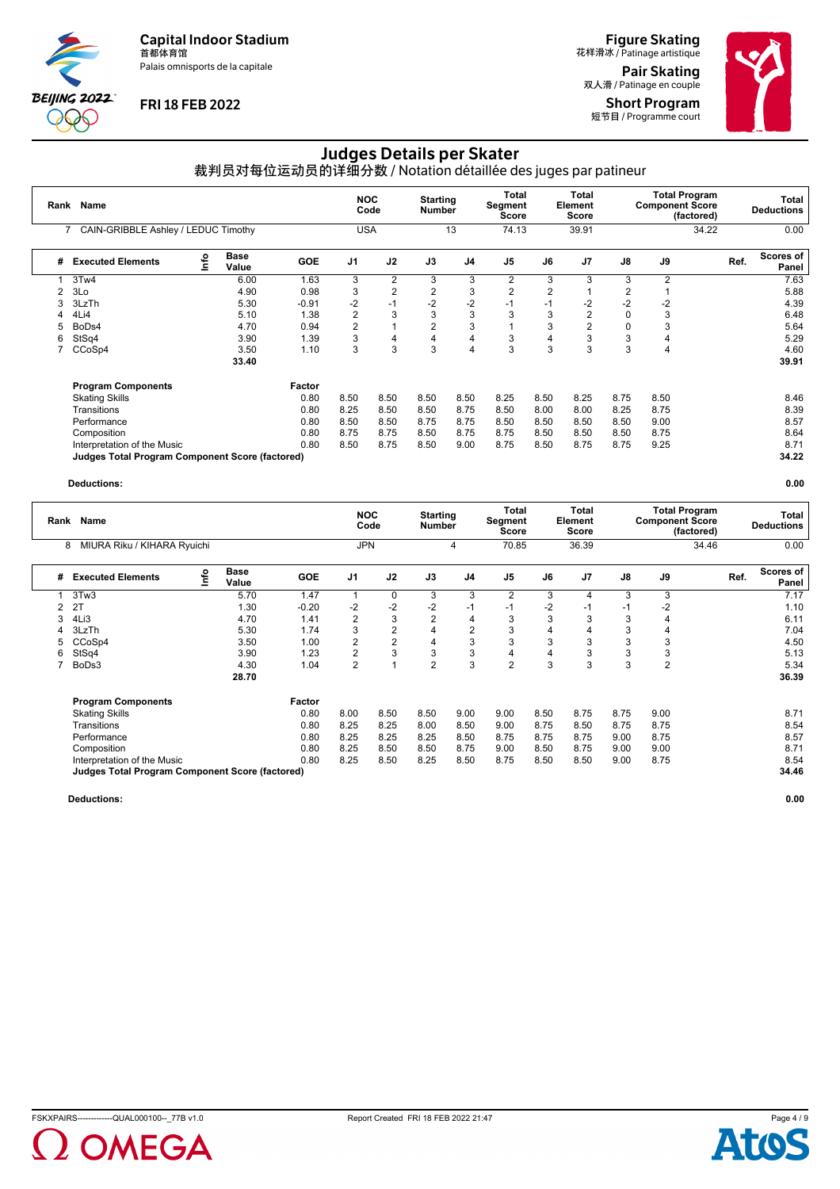Palais omnisports de la capitale



### **FRI 18 FEB 2022**

**Figure Skating**<br>花样滑冰 / Patinage artistique Pair Skating

双人滑 / Patinage en couple Short Program 短节目 / Programme court

# Judges Details per Skater

裁判员对每位运动员的详细分数 / Notation détaillée des juges par patineur

| Rank | Name<br>CAIN-GRIBBLE Ashley / LEDUC Timothy            |   |                      |            |                | <b>NOC</b><br>Code | <b>Starting</b><br><b>Number</b> |                | Total<br>Segment<br>Score |                | <b>Total</b><br>Element<br>Score |                | <b>Total Program</b><br><b>Component Score</b><br>(factored) |      | Total<br><b>Deductions</b> |
|------|--------------------------------------------------------|---|----------------------|------------|----------------|--------------------|----------------------------------|----------------|---------------------------|----------------|----------------------------------|----------------|--------------------------------------------------------------|------|----------------------------|
|      |                                                        |   |                      |            | <b>USA</b>     |                    |                                  | 13             | 74.13                     |                | 39.91                            |                | 34.22                                                        |      | 0.00                       |
| #    | <b>Executed Elements</b>                               | e | <b>Base</b><br>Value | <b>GOE</b> | J <sub>1</sub> | J2                 | J3                               | J <sub>4</sub> | J <sub>5</sub>            | J6             | J7                               | J8             | J9                                                           | Ref. | <b>Scores of</b><br>Panel  |
|      | 3Tw4                                                   |   | 6.00                 | 1.63       | 3              | $\overline{2}$     | 3                                | 3              | 2                         | 3              | 3                                | 3              | $\overline{2}$                                               |      | 7.63                       |
| 2    | 3Lo                                                    |   | 4.90                 | 0.98       | 3              | $\overline{2}$     | $\overline{2}$                   | 3              | $\overline{2}$            | $\overline{2}$ |                                  | $\overline{2}$ |                                                              |      | 5.88                       |
| 3    | 3LzTh                                                  |   | 5.30                 | $-0.91$    | -2             | $-1$               | $-2$                             | $-2$           | $-1$                      | $-1$           | $-2$                             | $-2$           | $-2$                                                         |      | 4.39                       |
| 4    | 4Li4                                                   |   | 5.10                 | 1.38       | 2              | 3                  | 3                                | 3              | 3                         | 3              | $\overline{2}$                   | $\Omega$       | 3                                                            |      | 6.48                       |
| 5    | BoDs4                                                  |   | 4.70                 | 0.94       | $\overline{2}$ |                    | $\overline{2}$                   | 3              |                           | 3              | 2                                | $\mathbf 0$    | 3                                                            |      | 5.64                       |
| 6    | StSq4                                                  |   | 3.90                 | 1.39       | 3              | 4                  | 4                                | 4              | 3                         | 4              | 3                                | 3              | 4                                                            |      | 5.29                       |
|      | CCoSp4                                                 |   | 3.50                 | 1.10       | 3              | 3                  | 3                                | $\overline{4}$ | 3                         | 3              | 3                                | 3              | 4                                                            |      | 4.60                       |
|      |                                                        |   | 33.40                |            |                |                    |                                  |                |                           |                |                                  |                |                                                              |      | 39.91                      |
|      | <b>Program Components</b>                              |   |                      | Factor     |                |                    |                                  |                |                           |                |                                  |                |                                                              |      |                            |
|      | <b>Skating Skills</b>                                  |   |                      | 0.80       | 8.50           | 8.50               | 8.50                             | 8.50           | 8.25                      | 8.50           | 8.25                             | 8.75           | 8.50                                                         |      | 8.46                       |
|      | Transitions                                            |   |                      | 0.80       | 8.25           | 8.50               | 8.50                             | 8.75           | 8.50                      | 8.00           | 8.00                             | 8.25           | 8.75                                                         |      | 8.39                       |
|      | Performance                                            |   |                      | 0.80       | 8.50           | 8.50               | 8.75                             | 8.75           | 8.50                      | 8.50           | 8.50                             | 8.50           | 9.00                                                         |      | 8.57                       |
|      | Composition                                            |   |                      | 0.80       | 8.75           | 8.75               | 8.50                             | 8.75           | 8.75                      | 8.50           | 8.50                             | 8.50           | 8.75                                                         |      | 8.64                       |
|      | Interpretation of the Music                            |   |                      | 0.80       | 8.50           | 8.75               | 8.50                             | 9.00           | 8.75                      | 8.50           | 8.75                             | 8.75           | 9.25                                                         |      | 8.71                       |
|      | <b>Judges Total Program Component Score (factored)</b> |   |                      |            |                |                    |                                  |                |                           |                |                                  |                |                                                              |      | 34.22                      |

#### **Deductions: 0.00**

|   | Name<br>Rank<br>MIURA Riku / KIHARA Ryuichi<br>8       |    |                      |            | <b>NOC</b>     | Code | <b>Starting</b><br>Number |                | Total<br>Segment<br>Score |      | <b>Total</b><br>Element<br><b>Score</b> |      | <b>Total Program</b><br><b>Component Score</b> | (factored) | Total<br><b>Deductions</b> |
|---|--------------------------------------------------------|----|----------------------|------------|----------------|------|---------------------------|----------------|---------------------------|------|-----------------------------------------|------|------------------------------------------------|------------|----------------------------|
|   |                                                        |    |                      |            | <b>JPN</b>     |      |                           | 4              | 70.85                     |      | 36.39                                   |      |                                                | 34.46      | 0.00                       |
| # | <b>Executed Elements</b>                               | ۴ô | <b>Base</b><br>Value | <b>GOE</b> | J <sub>1</sub> | J2   | J3                        | J4             | J <sub>5</sub>            | J6   | J <sub>7</sub>                          | J8   | J9                                             | Ref.       | <b>Scores of</b><br>Panel  |
|   | 3Tw3                                                   |    | 5.70                 | 1.47       | 1              | 0    | 3                         | 3              | 2                         | 3    | 4                                       | 3    | 3                                              |            | 7.17                       |
| 2 | 2T                                                     |    | 1.30                 | $-0.20$    | $-2$           | $-2$ | $-2$                      | $-1$           | $-1$                      | $-2$ | $-1$                                    | -1   | -2                                             |            | 1.10                       |
| 3 | 4Li3                                                   |    | 4.70                 | 1.41       | $\overline{2}$ | 3    | $\overline{2}$            | $\overline{4}$ | 3                         | 3    | 3                                       | 3    |                                                |            | 6.11                       |
|   | 3LzTh                                                  |    | 5.30                 | 1.74       | 3              | 2    | 4                         | $\overline{2}$ | 3                         | 4    |                                         | 3    | 4                                              |            | 7.04                       |
|   | CCoSp4                                                 |    | 3.50                 | 1.00       | 2              | 2    | 4                         | 3              | 3                         | 3    | 3                                       | 3    | 3                                              |            | 4.50                       |
| 6 | StSq4                                                  |    | 3.90                 | 1.23       | $\overline{2}$ | 3    | 3                         | 3              | 4                         | 4    | 3                                       | 3    | 3                                              |            | 5.13                       |
|   | BoDs3                                                  |    | 4.30                 | 1.04       | $\overline{2}$ | 1    | $\overline{2}$            | 3              | $\overline{2}$            | 3    | 3                                       | 3    | $\overline{2}$                                 |            | 5.34                       |
|   |                                                        |    | 28.70                |            |                |      |                           |                |                           |      |                                         |      |                                                |            | 36.39                      |
|   | <b>Program Components</b>                              |    |                      | Factor     |                |      |                           |                |                           |      |                                         |      |                                                |            |                            |
|   | <b>Skating Skills</b>                                  |    |                      | 0.80       | 8.00           | 8.50 | 8.50                      | 9.00           | 9.00                      | 8.50 | 8.75                                    | 8.75 | 9.00                                           |            | 8.71                       |
|   | Transitions                                            |    |                      | 0.80       | 8.25           | 8.25 | 8.00                      | 8.50           | 9.00                      | 8.75 | 8.50                                    | 8.75 | 8.75                                           |            | 8.54                       |
|   | Performance                                            |    |                      | 0.80       | 8.25           | 8.25 | 8.25                      | 8.50           | 8.75                      | 8.75 | 8.75                                    | 9.00 | 8.75                                           |            | 8.57                       |
|   | Composition                                            |    |                      | 0.80       | 8.25           | 8.50 | 8.50                      | 8.75           | 9.00                      | 8.50 | 8.75                                    | 9.00 | 9.00                                           |            | 8.71                       |
|   | Interpretation of the Music                            |    |                      | 0.80       | 8.25           | 8.50 | 8.25                      | 8.50           | 8.75                      | 8.50 | 8.50                                    | 9.00 | 8.75                                           |            | 8.54                       |
|   | <b>Judges Total Program Component Score (factored)</b> |    |                      |            |                |      |                           |                |                           |      |                                         |      |                                                |            | 34.46                      |



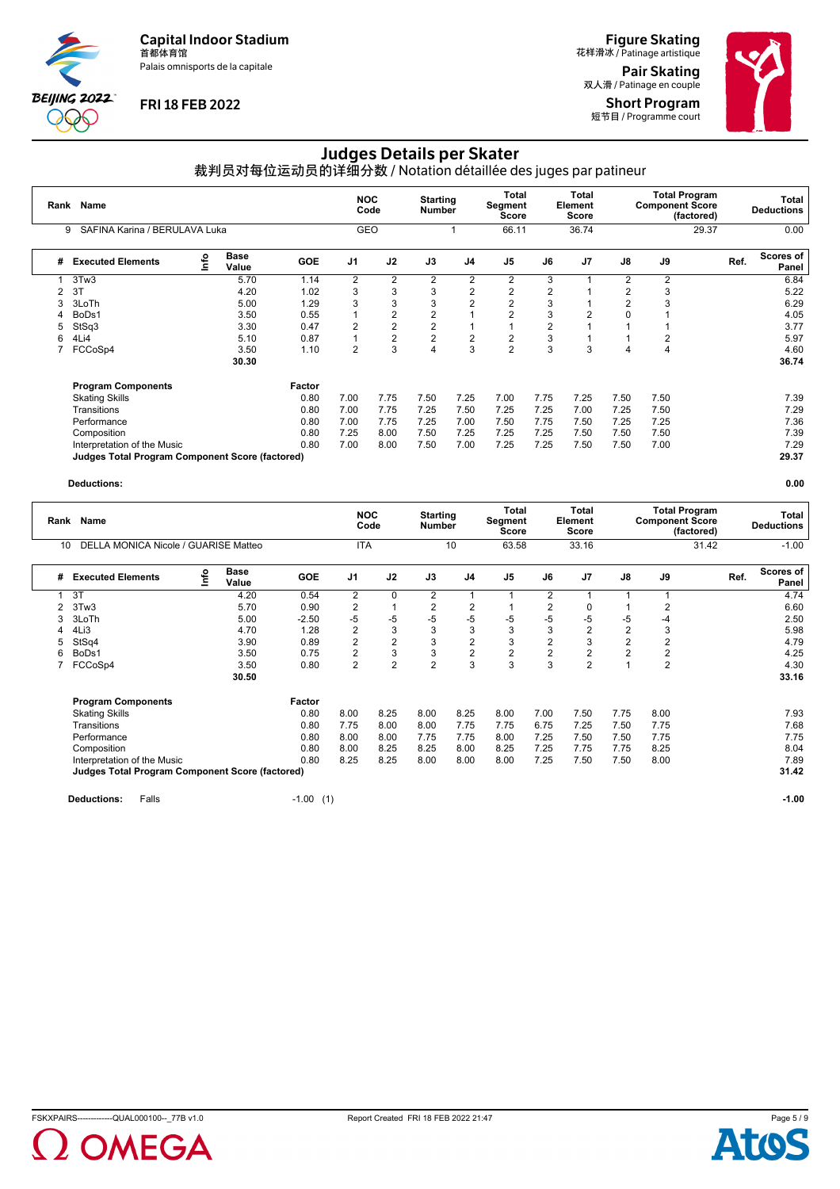Palais omnisports de la capitale



### **FRI 18 FEB 2022**

**Figure Skating**<br>花样滑冰 / Patinage artistique Pair Skating

双人滑 / Patinage en couple Short Program 短节目 / Programme court



# Judges Details per Skater

裁判员对每位运动员的详细分数 / Notation détaillée des juges par patineur

| Rank | Name<br>SAFINA Karina / BERULAVA Luka<br>9             |   |                      |            | <b>NOC</b>     | Code           | <b>Starting</b><br><b>Number</b> |                | Total<br>Segment<br><b>Score</b> |      | <b>Total</b><br>Element<br><b>Score</b> |                | <b>Total Program</b><br><b>Component Score</b> | (factored) | Total<br><b>Deductions</b> |
|------|--------------------------------------------------------|---|----------------------|------------|----------------|----------------|----------------------------------|----------------|----------------------------------|------|-----------------------------------------|----------------|------------------------------------------------|------------|----------------------------|
|      |                                                        |   |                      |            | GEO            |                |                                  |                | 66.11                            |      | 36.74                                   |                |                                                | 29.37      | 0.00                       |
| #    | <b>Executed Elements</b>                               | e | <b>Base</b><br>Value | <b>GOE</b> | J <sub>1</sub> | J2             | J3                               | J <sub>4</sub> | J <sub>5</sub>                   | J6   | J <sub>7</sub>                          | J8             | J9                                             |            | Scores of<br>Ref.<br>Panel |
|      | 3Tw3                                                   |   | 5.70                 | 1.14       | 2              | $\overline{2}$ | $\overline{2}$                   | $\overline{2}$ | 2                                | 3    |                                         | 2              | 2                                              |            | 6.84                       |
|      | 3T                                                     |   | 4.20                 | 1.02       | 3              | 3              | 3                                | $\overline{2}$ | $\overline{2}$                   | 2    |                                         | $\overline{c}$ | 3                                              |            | 5.22                       |
| 3    | 3LoTh                                                  |   | 5.00                 | 1.29       | 3              | 3              | 3                                | $\overline{2}$ | $\overline{2}$                   | 3    |                                         | 2              | 3                                              |            | 6.29                       |
| 4    | BoDs1                                                  |   | 3.50                 | 0.55       |                | 2              | 2                                |                | $\overline{2}$                   | 3    | 2                                       |                |                                                |            | 4.05                       |
| 5    | StSq3                                                  |   | 3.30                 | 0.47       | $\overline{2}$ | $\overline{2}$ | $\overline{c}$                   |                |                                  | 2    |                                         |                |                                                |            | 3.77                       |
| 6    | 4Li4                                                   |   | 5.10                 | 0.87       |                | $\overline{2}$ | 2                                | $\overline{2}$ | $\overline{2}$                   | 3    |                                         |                | 2                                              |            | 5.97                       |
|      | FCCoSp4                                                |   | 3.50                 | 1.10       | 2              | 3              | 4                                | 3              | $\overline{2}$                   | 3    | 3                                       | 4              | 4                                              |            | 4.60                       |
|      |                                                        |   | 30.30                |            |                |                |                                  |                |                                  |      |                                         |                |                                                |            | 36.74                      |
|      | <b>Program Components</b>                              |   |                      | Factor     |                |                |                                  |                |                                  |      |                                         |                |                                                |            |                            |
|      | <b>Skating Skills</b>                                  |   |                      | 0.80       | 7.00           | 7.75           | 7.50                             | 7.25           | 7.00                             | 7.75 | 7.25                                    | 7.50           | 7.50                                           |            | 7.39                       |
|      | Transitions                                            |   |                      | 0.80       | 7.00           | 7.75           | 7.25                             | 7.50           | 7.25                             | 7.25 | 7.00                                    | 7.25           | 7.50                                           |            | 7.29                       |
|      | Performance                                            |   |                      | 0.80       | 7.00           | 7.75           | 7.25                             | 7.00           | 7.50                             | 7.75 | 7.50                                    | 7.25           | 7.25                                           |            | 7.36                       |
|      | Composition                                            |   |                      | 0.80       | 7.25           | 8.00           | 7.50                             | 7.25           | 7.25                             | 7.25 | 7.50                                    | 7.50           | 7.50                                           |            | 7.39                       |
|      | Interpretation of the Music                            |   |                      | 0.80       | 7.00           | 8.00           | 7.50                             | 7.00           | 7.25                             | 7.25 | 7.50                                    | 7.50           | 7.00                                           |            | 7.29                       |
|      | <b>Judges Total Program Component Score (factored)</b> |   |                      |            |                |                |                                  |                |                                  |      |                                         |                |                                                |            | 29.37                      |

#### **Deductions: 0.00**

| Rank | Name<br>DELLA MONICA Nicole / GUARISE Matteo<br>10     |    |                      |            |                | <b>NOC</b><br>Code | <b>Starting</b><br><b>Number</b> |                | Total<br>Segment<br>Score |                | <b>Total</b><br>Element<br>Score |      | <b>Component Score</b> | <b>Total Program</b><br>(factored) | Total<br><b>Deductions</b> |
|------|--------------------------------------------------------|----|----------------------|------------|----------------|--------------------|----------------------------------|----------------|---------------------------|----------------|----------------------------------|------|------------------------|------------------------------------|----------------------------|
|      |                                                        |    |                      |            | <b>ITA</b>     |                    |                                  | 10             | 63.58                     |                | 33.16                            |      |                        | 31.42                              | $-1.00$                    |
| #    | <b>Executed Elements</b>                               | ۴o | <b>Base</b><br>Value | <b>GOE</b> | J <sub>1</sub> | J2                 | J3                               | J <sub>4</sub> | J <sub>5</sub>            | J6             | J <sub>7</sub>                   | J8   | J9                     | Ref.                               | <b>Scores of</b><br>Panel  |
|      | 3T                                                     |    | 4.20                 | 0.54       | $\overline{2}$ | 0                  | 2                                |                |                           | 2              |                                  |      |                        |                                    | 4.74                       |
| 2    | 3Tw3                                                   |    | 5.70                 | 0.90       | 2              |                    | 2                                | 2              |                           | 2              | 0                                |      | 2                      |                                    | 6.60                       |
| 3    | 3LoTh                                                  |    | 5.00                 | $-2.50$    | -5             | $-5$               | $-5$                             | $-5$           | $-5$                      | -5             | -5                               | -5   | -4                     |                                    | 2.50                       |
| 4    | 4Li3                                                   |    | 4.70                 | 1.28       | $\overline{2}$ | 3                  | 3                                | 3              | 3                         | 3              | $\overline{2}$                   | 2    | 3                      |                                    | 5.98                       |
| 5    | StSq4                                                  |    | 3.90                 | 0.89       | $\overline{2}$ | $\overline{2}$     | 3                                | $\overline{2}$ | 3                         | $\overline{2}$ | 3                                | 2    | $\overline{2}$         |                                    | 4.79                       |
| 6    | BoDs1                                                  |    | 3.50                 | 0.75       | $\overline{2}$ | 3                  | 3                                | $\overline{2}$ | $\overline{c}$            | $\overline{2}$ | $\overline{2}$                   | 2    | $\overline{2}$         |                                    | 4.25                       |
|      | FCCoSp4                                                |    | 3.50                 | 0.80       | $\overline{2}$ | $\overline{2}$     | $\overline{2}$                   | 3              | 3                         | 3              | $\overline{2}$                   |      | $\overline{2}$         |                                    | 4.30                       |
|      |                                                        |    | 30.50                |            |                |                    |                                  |                |                           |                |                                  |      |                        |                                    | 33.16                      |
|      | <b>Program Components</b>                              |    |                      | Factor     |                |                    |                                  |                |                           |                |                                  |      |                        |                                    |                            |
|      | <b>Skating Skills</b>                                  |    |                      | 0.80       | 8.00           | 8.25               | 8.00                             | 8.25           | 8.00                      | 7.00           | 7.50                             | 7.75 | 8.00                   |                                    | 7.93                       |
|      | Transitions                                            |    |                      | 0.80       | 7.75           | 8.00               | 8.00                             | 7.75           | 7.75                      | 6.75           | 7.25                             | 7.50 | 7.75                   |                                    | 7.68                       |
|      | Performance                                            |    |                      | 0.80       | 8.00           | 8.00               | 7.75                             | 7.75           | 8.00                      | 7.25           | 7.50                             | 7.50 | 7.75                   |                                    | 7.75                       |
|      | Composition                                            |    |                      | 0.80       | 8.00           | 8.25               | 8.25                             | 8.00           | 8.25                      | 7.25           | 7.75                             | 7.75 | 8.25                   |                                    | 8.04                       |
|      | Interpretation of the Music                            |    |                      | 0.80       | 8.25           | 8.25               | 8.00                             | 8.00           | 8.00                      | 7.25           | 7.50                             | 7.50 | 8.00                   |                                    | 7.89                       |
|      | <b>Judges Total Program Component Score (factored)</b> |    |                      |            |                |                    |                                  |                |                           |                |                                  |      |                        |                                    | 31.42                      |
|      |                                                        |    |                      |            |                |                    |                                  |                |                           |                |                                  |      |                        |                                    |                            |

**Deductions:** Falls **-1.00** (1) **-1.00 -1.00 -1.00 -1.00 -1.00 -1.00 -1.00 -1.00 -1.00 -1.00 -1.00** 



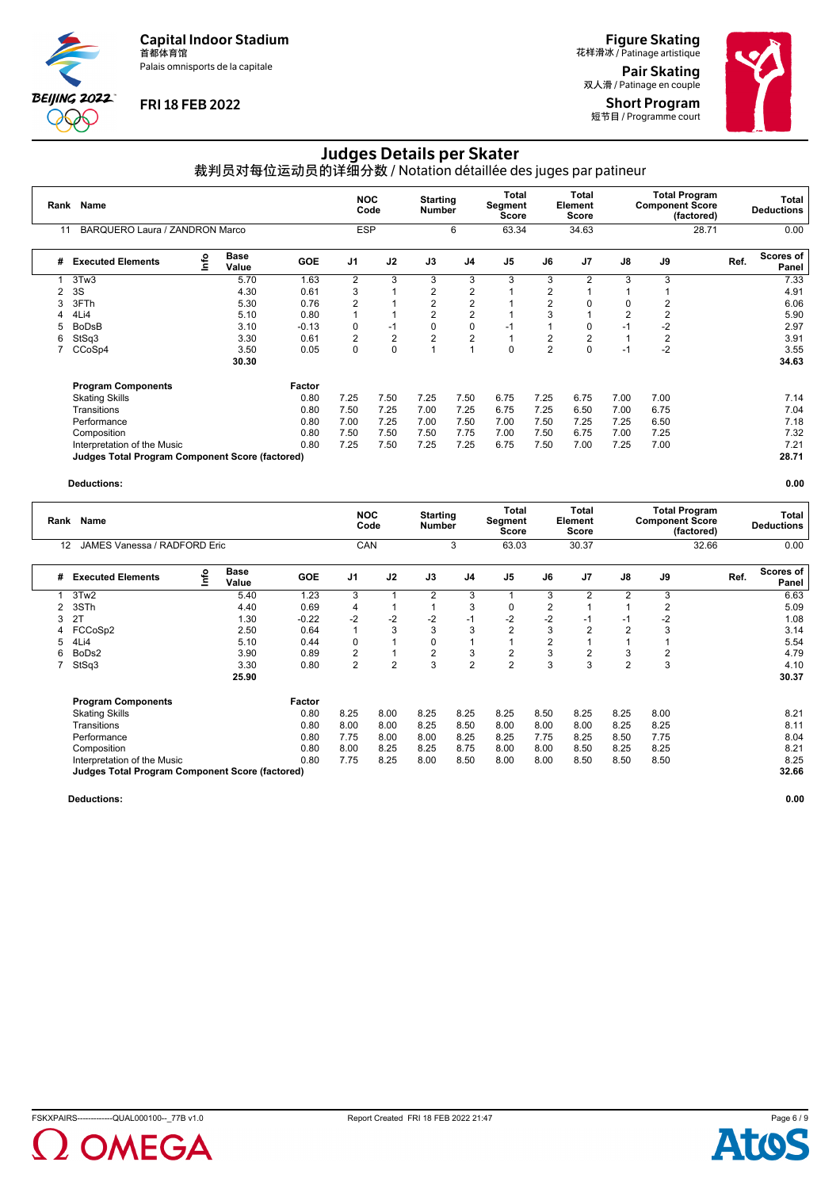Palais omnisports de la capitale



## **FRI 18 FEB 2022**

**Figure Skating**<br>花样滑冰 / Patinage artistique Pair Skating

双人滑 / Patinage en couple Short Program 短节目 / Programme court

# Judges Details per Skater

裁判员对每位运动员的详细分数 / Notation détaillée des juges par patineur

| Rank | Name<br>BARQUERO Laura / ZANDRON Marco                 |      |                      |            |                | <b>NOC</b><br>Code | <b>Starting</b><br>Number |                | Total<br>Segment<br><b>Score</b> |                | <b>Total</b><br>Element<br><b>Score</b> |                | <b>Total Program</b><br><b>Component Score</b><br>(factored) |       | Total<br><b>Deductions</b> |
|------|--------------------------------------------------------|------|----------------------|------------|----------------|--------------------|---------------------------|----------------|----------------------------------|----------------|-----------------------------------------|----------------|--------------------------------------------------------------|-------|----------------------------|
| 11   |                                                        |      |                      |            | <b>ESP</b>     |                    |                           | 6              | 63.34                            |                | 34.63                                   |                |                                                              | 28.71 | 0.00                       |
| #    | <b>Executed Elements</b>                               | Info | <b>Base</b><br>Value | <b>GOE</b> | J <sub>1</sub> | J2                 | J3                        | J <sub>4</sub> | J <sub>5</sub>                   | J6             | J <sub>7</sub>                          | J8             | J9                                                           | Ref.  | Scores of<br>Panel         |
|      | 3Tw3                                                   |      | 5.70                 | 1.63       | $\overline{2}$ | 3                  | 3                         | 3              | 3                                | 3              | $\overline{2}$                          | 3              | 3                                                            |       | 7.33                       |
|      | 3S                                                     |      | 4.30                 | 0.61       | 3              |                    | 2                         | $\overline{2}$ |                                  | 2              |                                         |                |                                                              |       | 4.91                       |
|      | 3FTh                                                   |      | 5.30                 | 0.76       | 2              |                    | $\overline{2}$            | $\overline{2}$ |                                  | $\overline{2}$ | 0                                       | $\Omega$       | 2                                                            |       | 6.06                       |
|      | 4Li4                                                   |      | 5.10                 | 0.80       |                |                    | 2                         | $\overline{2}$ |                                  | 3              |                                         | $\overline{c}$ | $\overline{2}$                                               |       | 5.90                       |
| 5    | <b>BoDsB</b>                                           |      | 3.10                 | $-0.13$    | 0              | $-1$               | 0                         | $\mathbf 0$    | $-1$                             |                | $\mathbf 0$                             | $-1$           | $-2$                                                         |       | 2.97                       |
| 6    | StSq3                                                  |      | 3.30                 | 0.61       | $\overline{2}$ | $\overline{2}$     | $\overline{2}$            | $\overline{2}$ |                                  | 2              | 2                                       |                | 2                                                            |       | 3.91                       |
|      | CCoSp4                                                 |      | 3.50                 | 0.05       | 0              | $\mathbf 0$        |                           | $\overline{A}$ | 0                                | $\overline{2}$ | 0                                       | $-1$           | $-2$                                                         |       | 3.55                       |
|      |                                                        |      | 30.30                |            |                |                    |                           |                |                                  |                |                                         |                |                                                              |       | 34.63                      |
|      | <b>Program Components</b>                              |      |                      | Factor     |                |                    |                           |                |                                  |                |                                         |                |                                                              |       |                            |
|      | <b>Skating Skills</b>                                  |      |                      | 0.80       | 7.25           | 7.50               | 7.25                      | 7.50           | 6.75                             | 7.25           | 6.75                                    | 7.00           | 7.00                                                         |       | 7.14                       |
|      | Transitions                                            |      |                      | 0.80       | 7.50           | 7.25               | 7.00                      | 7.25           | 6.75                             | 7.25           | 6.50                                    | 7.00           | 6.75                                                         |       | 7.04                       |
|      | Performance                                            |      |                      | 0.80       | 7.00           | 7.25               | 7.00                      | 7.50           | 7.00                             | 7.50           | 7.25                                    | 7.25           | 6.50                                                         |       | 7.18                       |
|      | Composition                                            |      |                      | 0.80       | 7.50           | 7.50               | 7.50                      | 7.75           | 7.00                             | 7.50           | 6.75                                    | 7.00           | 7.25                                                         |       | 7.32                       |
|      | Interpretation of the Music                            |      |                      | 0.80       | 7.25           | 7.50               | 7.25                      | 7.25           | 6.75                             | 7.50           | 7.00                                    | 7.25           | 7.00                                                         |       | 7.21                       |
|      | <b>Judges Total Program Component Score (factored)</b> |      |                      |            |                |                    |                           |                |                                  |                |                                         |                |                                                              |       | 28.71                      |

#### **Deductions: 0.00**

| Rank | Name                                                   |    | <b>NOC</b>           | Code       | <b>Starting</b><br><b>Number</b> |                | <b>Total</b><br>Segment<br><b>Score</b> |                | <b>Total</b><br>Element<br><b>Score</b> |                | <b>Total Program</b><br><b>Component Score</b> | (factored)     | Total<br><b>Deductions</b> |       |                           |
|------|--------------------------------------------------------|----|----------------------|------------|----------------------------------|----------------|-----------------------------------------|----------------|-----------------------------------------|----------------|------------------------------------------------|----------------|----------------------------|-------|---------------------------|
| 12   | JAMES Vanessa / RADFORD Eric                           |    |                      |            | <b>CAN</b>                       |                |                                         | 3              | 63.03                                   |                | 30.37                                          |                |                            | 32.66 | 0.00                      |
| #    | <b>Executed Elements</b>                               | ۴o | <b>Base</b><br>Value | <b>GOE</b> | J <sub>1</sub>                   | J2             | J3                                      | J <sub>4</sub> | J <sub>5</sub>                          | J6             | J <sub>7</sub>                                 | J8             | J9                         | Ref.  | <b>Scores of</b><br>Panel |
|      | 3Tw2                                                   |    | 5.40                 | 1.23       | 3                                |                | 2                                       | 3              |                                         | 3              | 2                                              | $\overline{2}$ | 3                          |       | 6.63                      |
| 2    | 3STh                                                   |    | 4.40                 | 0.69       | 4                                |                |                                         | 3              | 0                                       | 2              |                                                |                | 2                          |       | 5.09                      |
| 3    | 2T                                                     |    | 1.30                 | $-0.22$    | $-2$                             | $-2$           | $-2$                                    | $-1$           | $-2$                                    | $-2$           | $-1$                                           | -1             | $-2$                       |       | 1.08                      |
| 4    | FCCoSp2                                                |    | 2.50                 | 0.64       |                                  | 3              | 3                                       | 3              | $\overline{2}$                          | 3              | $\overline{2}$                                 |                | 3                          |       | 3.14                      |
|      | 4Li4                                                   |    | 5.10                 | 0.44       | 0                                |                | 0                                       |                |                                         | $\overline{2}$ |                                                |                |                            |       | 5.54                      |
| 6    | BoDs2                                                  |    | 3.90                 | 0.89       | $\overline{2}$                   | $\overline{1}$ | $\overline{2}$                          | 3              | $\overline{2}$                          | 3              | $\overline{2}$                                 | 3              | 2                          |       | 4.79                      |
|      | StSq3                                                  |    | 3.30                 | 0.80       | $\overline{2}$                   | $\overline{2}$ | 3                                       | $\overline{2}$ | $\overline{2}$                          | 3              | 3                                              | $\overline{2}$ | 3                          |       | 4.10                      |
|      |                                                        |    | 25.90                |            |                                  |                |                                         |                |                                         |                |                                                |                |                            |       | 30.37                     |
|      | <b>Program Components</b>                              |    |                      | Factor     |                                  |                |                                         |                |                                         |                |                                                |                |                            |       |                           |
|      | <b>Skating Skills</b>                                  |    |                      | 0.80       | 8.25                             | 8.00           | 8.25                                    | 8.25           | 8.25                                    | 8.50           | 8.25                                           | 8.25           | 8.00                       |       | 8.21                      |
|      | Transitions                                            |    |                      | 0.80       | 8.00                             | 8.00           | 8.25                                    | 8.50           | 8.00                                    | 8.00           | 8.00                                           | 8.25           | 8.25                       |       | 8.11                      |
|      | Performance                                            |    |                      | 0.80       | 7.75                             | 8.00           | 8.00                                    | 8.25           | 8.25                                    | 7.75           | 8.25                                           | 8.50           | 7.75                       |       | 8.04                      |
|      | Composition                                            |    |                      | 0.80       | 8.00                             | 8.25           | 8.25                                    | 8.75           | 8.00                                    | 8.00           | 8.50                                           | 8.25           | 8.25                       |       | 8.21                      |
|      | Interpretation of the Music                            |    |                      | 0.80       | 7.75                             | 8.25           | 8.00                                    | 8.50           | 8.00                                    | 8.00           | 8.50                                           | 8.50           | 8.50                       |       | 8.25                      |
|      | <b>Judges Total Program Component Score (factored)</b> |    |                      |            |                                  |                |                                         |                |                                         |                |                                                |                |                            |       | 32.66                     |



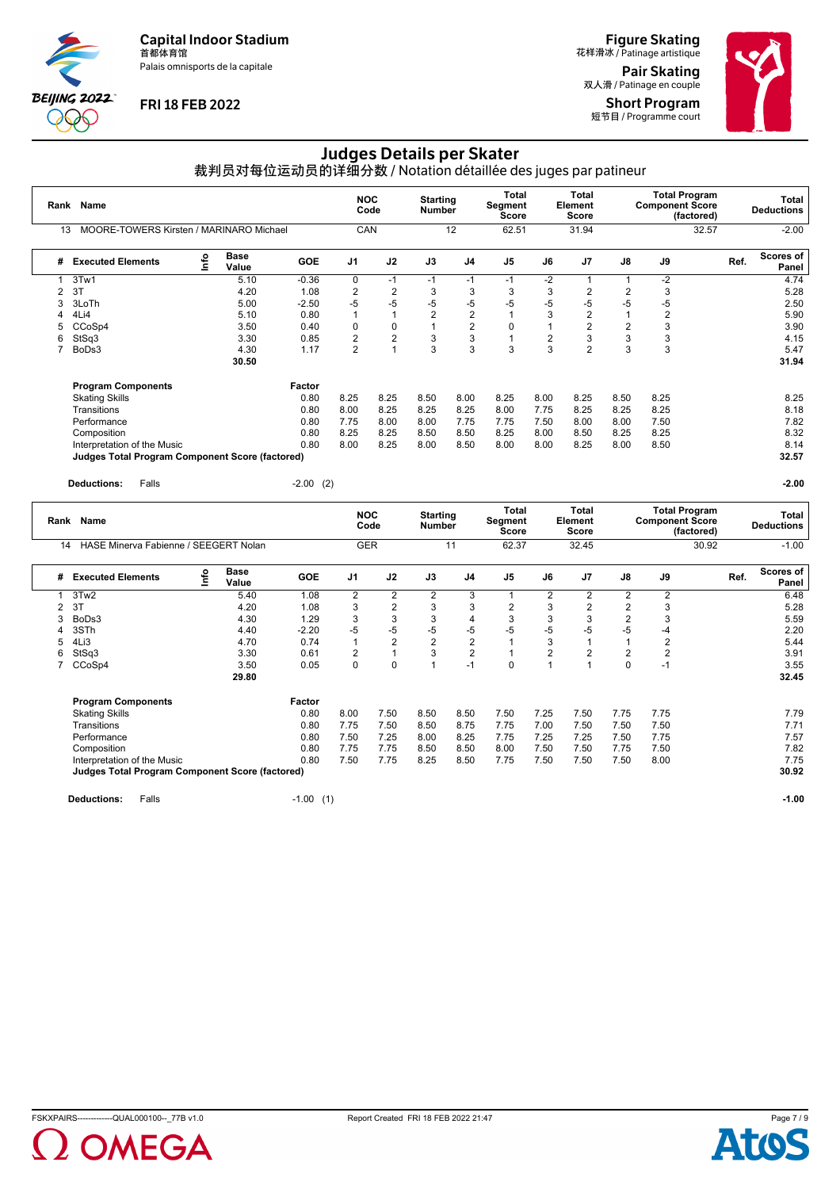Palais omnisports de la capitale



# **FRI 18 FEB 2022**

Figure Skating 花样滑冰 / Patinage artistique Pair Skating

双人滑 / Patinage en couple Short Program 短节目 / Programme court



# Judges Details per Skater

裁判员对每位运动员的详细分数 / Notation détaillée des juges par patineur

|                                               | <b>Name</b><br>Rank                                    |    |                      |             | <b>NOC</b><br>Code |                           | <b>Starting</b><br><b>Number</b> |                                                                                           | <b>Total</b><br>Segment<br>Score | <b>Total</b><br>Element<br><b>Score</b> |                                                              | <b>Total Program</b><br><b>Component Score</b><br>(factored) |                  |       |                            | <b>Total</b><br><b>Deductions</b> |
|-----------------------------------------------|--------------------------------------------------------|----|----------------------|-------------|--------------------|---------------------------|----------------------------------|-------------------------------------------------------------------------------------------|----------------------------------|-----------------------------------------|--------------------------------------------------------------|--------------------------------------------------------------|------------------|-------|----------------------------|-----------------------------------|
| MOORE-TOWERS Kirsten / MARINARO Michael<br>13 |                                                        |    |                      | CAN         |                    |                           | 12                               |                                                                                           | 62.51<br>31.94                   |                                         | 32.57                                                        |                                                              |                  |       | $-2.00$                    |                                   |
| #                                             | <b>Executed Elements</b>                               | ۴o | Base<br>Value        | <b>GOE</b>  | J <sub>1</sub>     | J2                        | J3                               | J4                                                                                        | J <sub>5</sub>                   | J6                                      | J7                                                           | J8                                                           | J9               |       | Ref.                       | Scores of<br>Panel                |
| $\mathbf{1}$                                  | 3Tw1                                                   |    | 5.10                 | $-0.36$     | $\mathbf 0$        | $-1$                      | $-1$                             | $-1$                                                                                      | $-1$                             | $-2$                                    | $\mathbf{1}$                                                 | $\mathbf{1}$                                                 | $\overline{-2}$  |       |                            | 4.74                              |
| 2                                             | 3T                                                     |    | 4.20                 | 1.08        | $\overline{2}$     | $\overline{2}$            | 3                                | 3                                                                                         | 3                                | 3                                       | $\overline{2}$                                               | $\overline{2}$                                               | 3                |       |                            | 5.28                              |
| 3                                             | 3LoTh                                                  |    | 5.00                 | $-2.50$     | -5                 | $-5$                      | $-5$                             | $-5$                                                                                      | $-5$                             | $-5$                                    | $-5$                                                         | $-5$                                                         | $-5$             |       |                            | 2.50                              |
| 4                                             | 4Li4                                                   |    | 5.10                 | 0.80        | $\mathbf{1}$       | $\mathbf{1}$              | $\overline{2}$                   | $\overline{2}$                                                                            | $\mathbf{1}$                     | 3                                       | $\overline{2}$                                               | $\mathbf{1}$                                                 | $\overline{2}$   |       |                            | 5.90                              |
| 5                                             | CCoSp4                                                 |    | 3.50                 | 0.40        | $\mathbf 0$        | $\pmb{0}$                 | $\mathbf{1}$                     | $\overline{2}$                                                                            | $\mathbf 0$                      | $\mathbf{1}$                            | $\overline{2}$                                               | $\overline{2}$                                               | 3                |       |                            | 3.90                              |
| 6                                             | StSq3                                                  |    | 3.30                 | 0.85        | $\overline{2}$     | $\overline{2}$            | 3                                | 3                                                                                         | $\mathbf{1}$                     | $\overline{2}$                          | 3                                                            | 3                                                            | 3                |       |                            | 4.15                              |
| $\overline{7}$                                | BoDs3                                                  |    | 4.30                 | 1.17        | $\overline{2}$     | $\overline{1}$            | 3                                | 3                                                                                         | 3                                | 3                                       | $\overline{2}$                                               | 3                                                            | 3                |       |                            | 5.47                              |
|                                               |                                                        |    | 30.50                |             |                    |                           |                                  |                                                                                           |                                  |                                         |                                                              |                                                              |                  |       |                            | 31.94                             |
|                                               | <b>Program Components</b>                              |    |                      | Factor      |                    |                           |                                  |                                                                                           |                                  |                                         |                                                              |                                                              |                  |       |                            |                                   |
|                                               | <b>Skating Skills</b>                                  |    |                      | 0.80        | 8.25               | 8.25                      | 8.50                             | 8.00                                                                                      | 8.25                             | 8.00                                    | 8.25                                                         | 8.50                                                         | 8.25             |       |                            | 8.25                              |
|                                               | Transitions                                            |    |                      | 0.80        | 8.00               | 8.25                      | 8.25                             | 8.25                                                                                      | 8.00                             | 7.75                                    | 8.25                                                         | 8.25                                                         | 8.25             |       |                            | 8.18                              |
|                                               | Performance                                            |    |                      | 0.80        | 7.75               | 8.00                      | 8.00                             | 7.75                                                                                      | 7.75                             | 7.50                                    | 8.00                                                         | 8.00                                                         | 7.50             |       |                            | 7.82                              |
|                                               | Composition                                            |    |                      | 0.80        | 8.25               | 8.25                      | 8.50                             | 8.50                                                                                      | 8.25                             | 8.00                                    | 8.50                                                         | 8.25                                                         | 8.25             |       |                            | 8.32                              |
|                                               | Interpretation of the Music                            |    |                      | 0.80        | 8.00               | 8.25                      | 8.00                             | 8.50                                                                                      | 8.00                             | 8.00                                    | 8.25                                                         | 8.00                                                         | 8.50             |       |                            | 8.14                              |
|                                               | <b>Judges Total Program Component Score (factored)</b> |    |                      |             |                    |                           |                                  |                                                                                           |                                  |                                         |                                                              |                                                              |                  |       |                            | 32.57                             |
|                                               |                                                        |    |                      |             |                    |                           |                                  |                                                                                           |                                  |                                         |                                                              |                                                              |                  |       |                            |                                   |
|                                               | <b>Deductions:</b><br>Falls                            |    |                      | $-2.00$ (2) |                    |                           |                                  |                                                                                           |                                  |                                         |                                                              |                                                              |                  |       |                            | $-2.00$                           |
|                                               | Rank<br><b>Name</b>                                    |    |                      | <b>NOC</b>  | Code               | <b>Starting</b><br>Number |                                  | <b>Total</b><br><b>Total</b><br>Segment<br><b>Element</b><br><b>Score</b><br><b>Score</b> |                                  |                                         | <b>Total Program</b><br><b>Component Score</b><br>(factored) |                                                              |                  |       | Total<br><b>Deductions</b> |                                   |
| 14                                            | HASE Minerva Fabienne / SEEGERT Nolan                  |    |                      |             | <b>GER</b>         |                           | 11                               |                                                                                           | 62.37                            |                                         | 32.45                                                        |                                                              |                  | 30.92 |                            | $-1.00$                           |
| #                                             | <b>Executed Elements</b>                               | ۴٥ | <b>Base</b><br>Value | GOE         | J1                 | J2                        | J3                               | J4                                                                                        | J <sub>5</sub>                   | J6                                      | J7                                                           | $\mathsf{J}8$                                                | J9               |       | Ref.                       | Scores of<br>Panel                |
| $\mathbf{1}$                                  | 3Tw2                                                   |    | 5.40                 | 1.08        | $\overline{2}$     | $\overline{2}$            | $\overline{2}$                   | $\overline{3}$                                                                            | $\mathbf{1}$                     | $\overline{c}$                          | $\overline{2}$                                               | $\overline{2}$                                               | $\overline{2}$   |       |                            | 6.48                              |
| 2                                             | 3T                                                     |    | 4.20                 | 1.08        | 3                  | $\overline{2}$            | 3                                | 3                                                                                         | 2                                | 3                                       | $\overline{2}$                                               | $\overline{2}$                                               | 3                |       |                            | 5.28                              |
| 3                                             | BoDs3                                                  |    | 4.30                 | 1.29        | 3                  | 3                         | 3                                | $\overline{4}$                                                                            | 3                                | 3                                       | 3                                                            | $\overline{2}$                                               | 3                |       |                            | 5.59                              |
| 4                                             | 3STh                                                   |    | 4.40                 | $-2.20$     | $-5$               | $-5$                      | $-5$                             | $-5$                                                                                      | $-5$                             | $-5$                                    | $-5$                                                         | $-5$                                                         | $-4$             |       |                            | 2.20                              |
| 5                                             | 4Li3                                                   |    | 4.70                 | 0.74        | $\mathbf{1}$       | $\overline{2}$            | $\mathbf{2}$                     | $\overline{2}$                                                                            | $\mathbf{1}$                     | 3                                       | 1                                                            | $\mathbf{1}$                                                 | $\overline{2}$   |       |                            | 5.44                              |
| 6                                             | StSq3                                                  |    | 3.30                 | 0.61        | 2                  | $\mathbf{1}$              | 3                                | $\overline{2}$                                                                            | $\mathbf{1}$                     | $\overline{2}$                          | $\overline{2}$                                               | $\overline{2}$                                               | $\boldsymbol{2}$ |       |                            | 3.91                              |
| 7                                             | CCoSp4                                                 |    | 3.50                 | 0.05        | $\Omega$           | $\mathbf 0$               | $\mathbf{1}$                     | $-1$                                                                                      | $\Omega$                         | $\mathbf{1}$                            | $\mathbf{1}$                                                 | $\Omega$                                                     | $-1$             |       |                            | 3.55                              |
|                                               |                                                        |    | 29.80                |             |                    |                           |                                  |                                                                                           |                                  |                                         |                                                              |                                                              |                  |       |                            | 32.45                             |
|                                               |                                                        |    |                      |             |                    |                           |                                  |                                                                                           |                                  |                                         |                                                              |                                                              |                  |       |                            |                                   |
|                                               | <b>Program Components</b>                              |    |                      | Factor      |                    |                           |                                  |                                                                                           |                                  |                                         |                                                              |                                                              |                  |       |                            |                                   |

Skating Skills 0.80 8.00 7.50 8.50 8.50 7.50 7.25 7.50 7.75 7.75 7.79 Transitions 0.80 7.75 7.50 8.50 8.75 7.75 7.00 7.50 7.50 7.50 7.71 Performance 0.80 7.50 7.25 8.00 8.25 7.75 7.25 7.25 7.50 7.75 7.57 Composition 0.80 7.75 7.75 8.50 8.50 8.00 7.50 7.50 7.75 7.50 7.82

Interpretation of the Music 0.80 7.50 7.75 8.25 8.50 7.75 7.50 7.50 7.50 8.00 7.75 **Judges Total Program Component Score (factored) 30.92**

**Deductions:** Falls -1.00 (1) **-1.00**



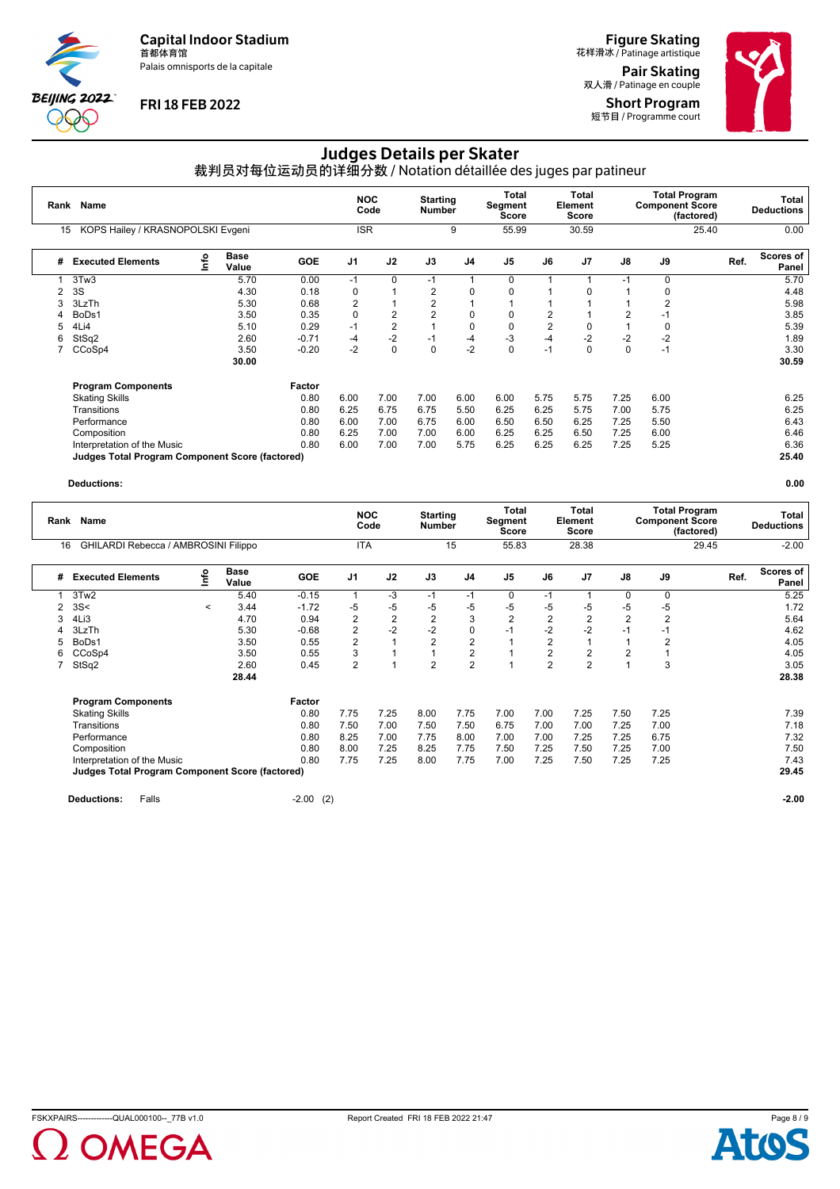Palais omnisports de la capitale



## **FRI 18 FEB 2022**

**Figure Skating**<br>花样滑冰 / Patinage artistique Pair Skating

双人滑 / Patinage en couple Short Program 短节目 / Programme court



# Judges Details per Skater

裁判员对每位运动员的详细分数 / Notation détaillée des juges par patineur

| Rank | Name                                                   |   |                      |            |                |                |                | <b>Starting</b><br>Number |                | <b>Total</b><br>Segment<br>Score | Total<br>Element<br>Score |      | <b>Total Program</b><br><b>Component Score</b> | (factored) | Total<br><b>Deductions</b>        |  |
|------|--------------------------------------------------------|---|----------------------|------------|----------------|----------------|----------------|---------------------------|----------------|----------------------------------|---------------------------|------|------------------------------------------------|------------|-----------------------------------|--|
| 15   | KOPS Hailey / KRASNOPOLSKI Evgeni                      |   |                      |            | <b>ISR</b>     |                |                | 9                         | 55.99          |                                  | 30.59                     |      |                                                | 25.40      | 0.00                              |  |
| #    | <b>Executed Elements</b>                               | e | <b>Base</b><br>Value | <b>GOE</b> | J <sub>1</sub> | J2             | J3             | J <sub>4</sub>            | J <sub>5</sub> | J6                               | J <sub>7</sub>            | J8   | J9                                             |            | <b>Scores of</b><br>Ref.<br>Panel |  |
|      | 3Tw3                                                   |   | 5.70                 | 0.00       | $-1$           | $\Omega$       | $-1$           | $\overline{\mathbf{A}}$   | 0              |                                  |                           | -1   | 0                                              |            | 5.70                              |  |
| 2    | 3S                                                     |   | 4.30                 | 0.18       | 0              |                | $\overline{2}$ | $\Omega$                  | $\Omega$       |                                  | 0                         |      | 0                                              |            | 4.48                              |  |
| 3    | 3LzTh                                                  |   | 5.30                 | 0.68       | 2              |                | 2              |                           |                |                                  |                           |      | 2                                              |            | 5.98                              |  |
| 4    | BoDs1                                                  |   | 3.50                 | 0.35       | $\mathbf 0$    | 2              | 2              | 0                         | 0              | 2                                |                           |      | -1                                             |            | 3.85                              |  |
| 5    | 4Li4                                                   |   | 5.10                 | 0.29       | $-1$           | $\overline{2}$ |                | $\mathbf 0$               | 0              | $\overline{2}$                   | 0                         |      | 0                                              |            | 5.39                              |  |
| 6    | StSq2                                                  |   | 2.60                 | $-0.71$    | -4             | $-2$           | $-1$           | $-4$                      | $-3$           | $-4$                             | $-2$                      | $-2$ | $-2$                                           |            | 1.89                              |  |
|      | CCoSp4                                                 |   | 3.50                 | $-0.20$    | $-2$           | $\mathbf 0$    | $\mathbf 0$    | $-2$                      | 0              | $-1$                             | 0                         | 0    | $-1$                                           |            | 3.30                              |  |
|      |                                                        |   | 30.00                |            |                |                |                |                           |                |                                  |                           |      |                                                |            | 30.59                             |  |
|      | <b>Program Components</b>                              |   |                      | Factor     |                |                |                |                           |                |                                  |                           |      |                                                |            |                                   |  |
|      | <b>Skating Skills</b>                                  |   |                      | 0.80       | 6.00           | 7.00           | 7.00           | 6.00                      | 6.00           | 5.75                             | 5.75                      | 7.25 | 6.00                                           |            | 6.25                              |  |
|      | Transitions                                            |   |                      | 0.80       | 6.25           | 6.75           | 6.75           | 5.50                      | 6.25           | 6.25                             | 5.75                      | 7.00 | 5.75                                           |            | 6.25                              |  |
|      | Performance                                            |   |                      | 0.80       | 6.00           | 7.00           | 6.75           | 6.00                      | 6.50           | 6.50                             | 6.25                      | 7.25 | 5.50                                           |            | 6.43                              |  |
|      | Composition                                            |   |                      | 0.80       | 6.25           | 7.00           | 7.00           | 6.00                      | 6.25           | 6.25                             | 6.50                      | 7.25 | 6.00                                           |            | 6.46                              |  |
|      | Interpretation of the Music                            |   |                      | 0.80       | 6.00           | 7.00           | 7.00           | 5.75                      | 6.25           | 6.25                             | 6.25                      | 7.25 | 5.25                                           |            | 6.36                              |  |
|      | <b>Judges Total Program Component Score (factored)</b> |   |                      |            |                |                |                |                           |                |                                  |                           |      |                                                |            | 25.40                             |  |

#### **Deductions: 0.00**

| Rank | Name                                                   |         |                      |            |                          | <b>NOC</b><br>Code |                | <b>Starting</b><br><b>Number</b> |                | Total<br>Segment<br>Score | <b>Total</b><br>Element<br><b>Score</b> |                | <b>Component Score</b> | <b>Total Program</b><br>(factored) | Total<br><b>Deductions</b> |  |
|------|--------------------------------------------------------|---------|----------------------|------------|--------------------------|--------------------|----------------|----------------------------------|----------------|---------------------------|-----------------------------------------|----------------|------------------------|------------------------------------|----------------------------|--|
|      | GHILARDI Rebecca / AMBROSINI Filippo<br>16             |         |                      | <b>ITA</b> |                          |                    | 15             |                                  | 55.83          | 28.38                     |                                         |                | 29.45                  | $-2.00$                            |                            |  |
| #    | <b>Executed Elements</b>                               | Info    | <b>Base</b><br>Value | <b>GOE</b> | J <sub>1</sub>           | J2                 | J3             | J4                               | J <sub>5</sub> | J6                        | J7                                      | J8             | J9                     | Ref.                               | <b>Scores of</b><br>Panel  |  |
|      | 3Tw <sub>2</sub>                                       |         | 5.40                 | $-0.15$    | $\overline{\phantom{a}}$ | -3                 | $-1$           | $-1$                             | 0              | $-1$                      |                                         | 0              | 0                      |                                    | 5.25                       |  |
| 2    | 3S<                                                    | $\prec$ | 3.44                 | $-1.72$    | -5                       | $-5$               | $-5$           | $-5$                             | -5             | -5                        | -5                                      | $-5$           | -5                     |                                    | 1.72                       |  |
|      | 4Li3                                                   |         | 4.70                 | 0.94       | $\overline{2}$           | $\overline{2}$     | $\overline{c}$ | 3                                | $\overline{2}$ | $\overline{2}$            | $\overline{2}$                          | $\overline{2}$ | $\overline{2}$         |                                    | 5.64                       |  |
|      | 3LzTh                                                  |         | 5.30                 | $-0.68$    | $\overline{2}$           | $-2$               | $-2$           | 0                                | $-1$           | $-2$                      | -2                                      | $-1$           | $-1$                   |                                    | 4.62                       |  |
| 5    | BoDs1                                                  |         | 3.50                 | 0.55       | $\overline{2}$           |                    | $\overline{2}$ | $\overline{2}$                   |                | $\overline{2}$            |                                         |                | $\overline{2}$         |                                    | 4.05                       |  |
| 6    | CCoSp4                                                 |         | 3.50                 | 0.55       | 3                        |                    |                | $\overline{2}$                   |                | 2                         | 2                                       | $\overline{2}$ |                        |                                    | 4.05                       |  |
|      | StSq2                                                  |         | 2.60                 | 0.45       | $\overline{2}$           | 1                  | $\overline{2}$ | $\overline{2}$                   |                | $\overline{2}$            | $\overline{2}$                          |                | 3                      |                                    | 3.05                       |  |
|      |                                                        |         | 28.44                |            |                          |                    |                |                                  |                |                           |                                         |                |                        |                                    | 28.38                      |  |
|      | <b>Program Components</b>                              |         |                      | Factor     |                          |                    |                |                                  |                |                           |                                         |                |                        |                                    |                            |  |
|      | <b>Skating Skills</b>                                  |         |                      | 0.80       | 7.75                     | 7.25               | 8.00           | 7.75                             | 7.00           | 7.00                      | 7.25                                    | 7.50           | 7.25                   |                                    | 7.39                       |  |
|      | Transitions                                            |         |                      | 0.80       | 7.50                     | 7.00               | 7.50           | 7.50                             | 6.75           | 7.00                      | 7.00                                    | 7.25           | 7.00                   |                                    | 7.18                       |  |
|      | Performance                                            |         |                      | 0.80       | 8.25                     | 7.00               | 7.75           | 8.00                             | 7.00           | 7.00                      | 7.25                                    | 7.25           | 6.75                   |                                    | 7.32                       |  |
|      | Composition                                            |         |                      | 0.80       | 8.00                     | 7.25               | 8.25           | 7.75                             | 7.50           | 7.25                      | 7.50                                    | 7.25           | 7.00                   |                                    | 7.50                       |  |
|      | Interpretation of the Music                            |         |                      | 0.80       | 7.75                     | 7.25               | 8.00           | 7.75                             | 7.00           | 7.25                      | 7.50                                    | 7.25           | 7.25                   |                                    | 7.43                       |  |
|      | <b>Judges Total Program Component Score (factored)</b> |         |                      |            |                          |                    |                |                                  |                |                           |                                         |                |                        |                                    | 29.45                      |  |
|      |                                                        |         |                      |            |                          |                    |                |                                  |                |                           |                                         |                |                        |                                    |                            |  |

**Deductions:** Falls **-2.00** (2) **-2.00 -2.00 -2.00 -2.00 -2.00**